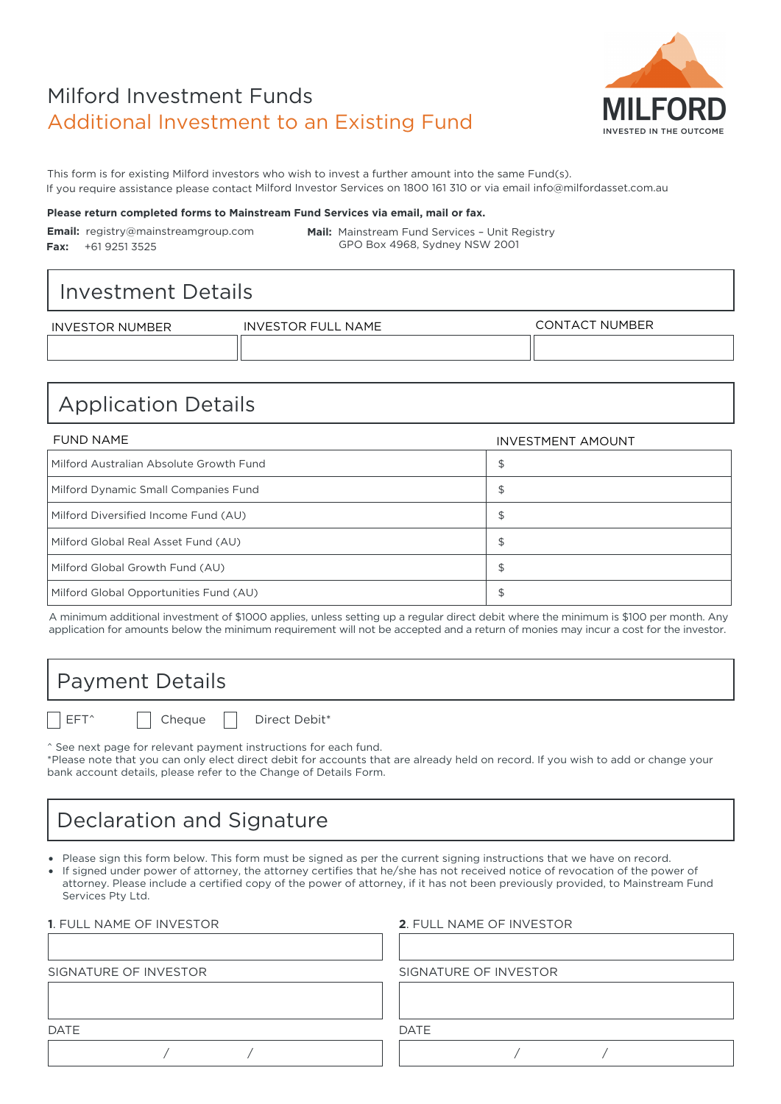# Milford Investment Funds Additional Investment to an Existing Fund



This form is for existing Milford investors who wish to invest a further amount into the same Fund(s). If you require assistance please contact Milford Investor Services on 1800 161 310 or via email info@milfordasset.com.au

#### Please return completed forms to Mainstream Fund Services via email, mail or fax.

Email: registry@mainstreamgroup.com **Fax:** +61 9251 3525

**Mail:** Mainstream Fund Services – Unit Registry GPO Box 4968, Sydney NSW 2001

### Investment Details

| INVESTOR NUMBER | <b>NAME</b><br><b>INVESTOR FUL</b> | `T NUMBER<br>CONTACT |
|-----------------|------------------------------------|----------------------|
|                 |                                    |                      |

## Application Details

| FUND NAME                               | <b>INVESTMENT AMOUNT</b> |
|-----------------------------------------|--------------------------|
| Milford Australian Absolute Growth Fund | \$                       |
| Milford Dynamic Small Companies Fund    | \$                       |
| Milford Diversified Income Fund (AU)    | \$                       |
| Milford Global Real Asset Fund (AU)     | \$                       |
| Milford Global Growth Fund (AU)         | \$                       |
| Milford Global Opportunities Fund (AU)  | \$                       |

A minimum additional investment of \$1000 applies, unless setting up a regular direct debit where the minimum is \$100 per month. Any application for amounts below the minimum requirement will not be accepted and a return of monies may incur a cost for the investor.

### Payment Details

EFT^ | Cheque | Direct Debit\*

^ See next page for relevant payment instructions for each fund.

\*Please note that you can only elect direct debit for accounts that are already held on record. If you wish to add or change your bank account details, please refer to the Change of Details Form.

## Declaration and Signature

• Please sign this form below. This form must be signed as per the current signing instructions that we have on record.

If signed under power of attorney, the attorney certifies that he/she has not received notice of revocation of the power of attorney. Please include a certified copy of the power of attorney, if it has not been previously provided, to Mainstream Fund Services Pty Ltd.

| <b>1. FULL NAME OF INVESTOR</b> | <b>2. FULL NAME OF INVESTOR</b> |
|---------------------------------|---------------------------------|
|                                 |                                 |
| SIGNATURE OF INVESTOR           | SIGNATURE OF INVESTOR           |
|                                 |                                 |
|                                 |                                 |
| <b>DATE</b>                     | <b>DATE</b>                     |
|                                 |                                 |